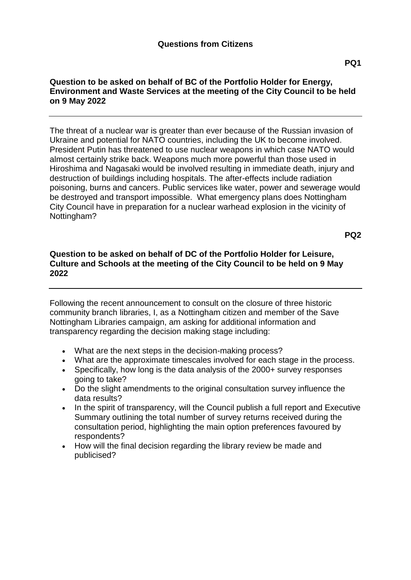## **Question to be asked on behalf of BC of the Portfolio Holder for Energy, Environment and Waste Services at the meeting of the City Council to be held on 9 May 2022**

The threat of a nuclear war is greater than ever because of the Russian invasion of Ukraine and potential for NATO countries, including the UK to become involved. President Putin has threatened to use nuclear weapons in which case NATO would almost certainly strike back. Weapons much more powerful than those used in Hiroshima and Nagasaki would be involved resulting in immediate death, injury and destruction of buildings including hospitals. The after-effects include radiation poisoning, burns and cancers. Public services like water, power and sewerage would be destroyed and transport impossible. What emergency plans does Nottingham City Council have in preparation for a nuclear warhead explosion in the vicinity of Nottingham?

**PQ2**

## **Question to be asked on behalf of DC of the Portfolio Holder for Leisure, Culture and Schools at the meeting of the City Council to be held on 9 May 2022**

Following the recent announcement to consult on the closure of three historic community branch libraries, I, as a Nottingham citizen and member of the Save Nottingham Libraries campaign, am asking for additional information and transparency regarding the decision making stage including:

- What are the next steps in the decision-making process?
- What are the approximate timescales involved for each stage in the process.
- Specifically, how long is the data analysis of the 2000+ survey responses going to take?
- Do the slight amendments to the original consultation survey influence the data results?
- In the spirit of transparency, will the Council publish a full report and Executive Summary outlining the total number of survey returns received during the consultation period, highlighting the main option preferences favoured by respondents?
- How will the final decision regarding the library review be made and publicised?